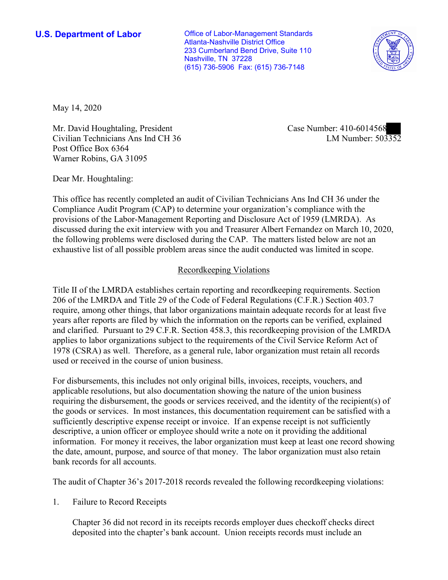**U.S. Department of Labor Conservative Conservation Conservative U.S. Department of Labor** Atlanta-Nashville District Office 233 Cumberland Bend Drive, Suite 110 Nashville, TN 37228 (615) 736-5906 Fax: (615) 736-7148



May 14, 2020

Mr. David Houghtaling, President Civilian Technicians Ans Ind CH 36 Post Office Box 6364 Warner Robins, GA 31095

Case Number: 410-6014568<br>LM Number: 503352

Dear Mr. Houghtaling:

 This office has recently completed an audit of Civilian Technicians Ans Ind CH 36 under the Compliance Audit Program (CAP) to determine your organization's compliance with the provisions of the Labor-Management Reporting and Disclosure Act of 1959 (LMRDA). As discussed during the exit interview with you and Treasurer Albert Fernandez on March 10, 2020, the following problems were disclosed during the CAP. The matters listed below are not an exhaustive list of all possible problem areas since the audit conducted was limited in scope.

## Recordkeeping Violations

 Title II of the LMRDA establishes certain reporting and recordkeeping requirements. Section and clarified. Pursuant to 29 C.F.R. Section 458.3, this recordkeeping provision of the LMRDA 206 of the LMRDA and Title 29 of the Code of Federal Regulations (C.F.R.) Section 403.7 require, among other things, that labor organizations maintain adequate records for at least five years after reports are filed by which the information on the reports can be verified, explained applies to labor organizations subject to the requirements of the Civil Service Reform Act of 1978 (CSRA) as well. Therefore, as a general rule, labor organization must retain all records used or received in the course of union business.

 the goods or services. In most instances, this documentation requirement can be satisfied with a For disbursements, this includes not only original bills, invoices, receipts, vouchers, and applicable resolutions, but also documentation showing the nature of the union business requiring the disbursement, the goods or services received, and the identity of the recipient(s) of sufficiently descriptive expense receipt or invoice. If an expense receipt is not sufficiently descriptive, a union officer or employee should write a note on it providing the additional information. For money it receives, the labor organization must keep at least one record showing the date, amount, purpose, and source of that money. The labor organization must also retain bank records for all accounts.

The audit of Chapter 36's 2017-2018 records revealed the following recordkeeping violations:

1. Failure to Record Receipts

 Chapter 36 did not record in its receipts records employer dues checkoff checks direct deposited into the chapter's bank account. Union receipts records must include an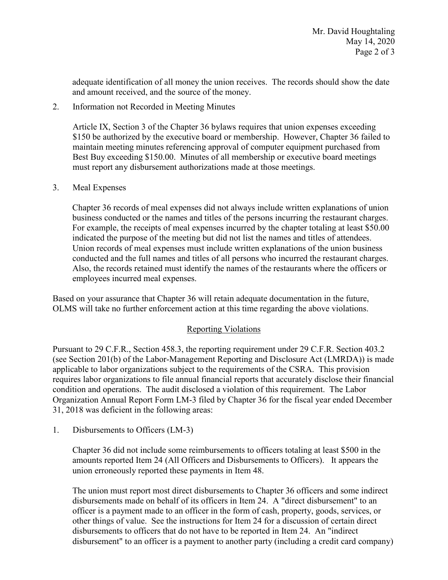adequate identification of all money the union receives. The records should show the date and amount received, and the source of the money.

Information not Recorded in Meeting Minutes

2. Information not Recorded in Meeting Minutes<br>Article IX, Section 3 of the Chapter 36 bylaws requires that union expenses exceeding \$150 be authorized by the executive board or membership. However, Chapter 36 failed to maintain meeting minutes referencing approval of computer equipment purchased from Best Buy exceeding \$150.00. Minutes of all membership or executive board meetings must report any disbursement authorizations made at those meetings.

## 3. Meal Expenses

 Chapter 36 records of meal expenses did not always include written explanations of union conducted and the full names and titles of all persons who incurred the restaurant charges. employees incurred meal expenses. business conducted or the names and titles of the persons incurring the restaurant charges. For example, the receipts of meal expenses incurred by the chapter totaling at least \$50.00 indicated the purpose of the meeting but did not list the names and titles of attendees. Union records of meal expenses must include written explanations of the union business Also, the records retained must identify the names of the restaurants where the officers or

 employees incurred meal expenses. Based on your assurance that Chapter 36 will retain adequate documentation in the future, OLMS will take no further enforcement action at this time regarding the above violations.

## Reporting Violations

 condition and operations. The audit disclosed a violation of this requirement. The Labor Organization Annual Report Form LM-3 filed by Chapter 36 for the fiscal year ended December Pursuant to 29 C.F.R., Section 458.3, the reporting requirement under 29 C.F.R. Section 403.2 (see Section 201(b) of the Labor-Management Reporting and Disclosure Act (LMRDA)) is made applicable to labor organizations subject to the requirements of the CSRA. This provision requires labor organizations to file annual financial reports that accurately disclose their financial 31, 2018 was deficient in the following areas:

1. Disbursements to Officers (LM-3)

 Chapter 36 did not include some reimbursements to officers totaling at least \$500 in the amounts reported Item 24 (All Officers and Disbursements to Officers). It appears the union erroneously reported these payments in Item 48.

 The union must report most direct disbursements to Chapter 36 officers and some indirect disbursements made on behalf of its officers in Item 24. A "direct disbursement" to an officer is a payment made to an officer in the form of cash, property, goods, services, or other things of value. See the instructions for Item 24 for a discussion of certain direct disbursements to officers that do not have to be reported in Item 24. An "indirect disbursement" to an officer is a payment to another party (including a credit card company)